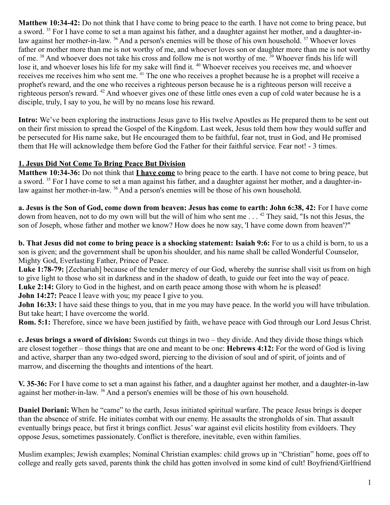**Matthew 10:34-42:** Do not think that I have come to bring peace to the earth. I have not come to bring peace, but a sword. <sup>35</sup> For I have come to set a man against his father, and a daughter against her mother, and a daughter-inlaw against her mother-in-law. <sup>36</sup> And a person's enemies will be those of his own household. <sup>37</sup> Whoever loves father or mother more than me is not worthy of me, and whoever loves son or daughter more than me is not worthy of me. <sup>38</sup> And whoever does not take his cross and follow me is not worthy of me. <sup>39</sup> Whoever finds his life will lose it, and whoever loses his life for my sake will find it. <sup>40</sup> Whoever receives you receives me, and whoever receives me receives him who sent me. <sup>41</sup> The one who receives a prophet because he is a prophet will receive a prophet's reward, and the one who receives a righteous person because he is a righteous person will receive a righteous person's reward. <sup>42</sup> And whoever gives one of these little ones even a cup of cold water because he is a disciple, truly, I say to you, he will by no means lose his reward.

**Intro:** We've been exploring the instructions Jesus gave to His twelve Apostles as He prepared them to be sent out on their first mission to spread the Gospel of the Kingdom. Last week, Jesus told them how they would suffer and be persecuted for His name sake, but He encouraged them to be faithful, fear not, trust in God, and He promised them that He will acknowledge them before God the Father for their faithful service. Fear not! - 3 times.

### **1. Jesus Did Not Come To Bring Peace But Division**

**Matthew 10:34-36:** Do not think that **I have come** to bring peace to the earth. I have not come to bring peace, but a sword. <sup>35</sup> For I have come to set a man against his father, and a daughter against her mother, and a daughter-inlaw against her mother-in-law. <sup>36</sup> And a person's enemies will be those of his own household.

**a. Jesus is the Son of God, come down from heaven: Jesus has come to earth: John 6:38, 42:** For I have come down from heaven, not to do my own will but the will of him who sent me . . . <sup>42</sup> They said, "Is not this Jesus, the son of Joseph, whose father and mother we know? How does he now say, 'I have come down from heaven'?"

**b. That Jesus did not come to bring peace is a shocking statement: Isaiah 9:6:** For to us a child is born, to us a son is given; and the government shall be upon his shoulder, and his name shall be called Wonderful Counselor, Mighty God, Everlasting Father, Prince of Peace.

Luke 1:78-79: [Zechariah] because of the tender mercy of our God, whereby the sunrise shall visit us from on high to give light to those who sit in darkness and in the shadow of death, to guide our feet into the way of peace. Luke 2:14: Glory to God in the highest, and on earth peace among those with whom he is pleased!

**John 14:27:** Peace I leave with you; my peace I give to you.

**John 16:33:** I have said these things to you, that in me you may have peace. In the world you will have tribulation. But take heart; I have overcome the world.

**Rom. 5:1:** Therefore, since we have been justified by faith, we have peace with God through our Lord Jesus Christ.

**c. Jesus brings a sword of division:** Swords cut things in two – they divide. And they divide those things which are closest together – those things that are one and meant to be one: **Hebrews 4:12:** For the word of God is living and active, sharper than any two-edged sword, piercing to the division of soul and of spirit, of joints and of marrow, and discerning the thoughts and intentions of the heart.

**V. 35-36:** For I have come to set a man against his father, and a daughter against her mother, and a daughter-in-law against her mother-in-law. <sup>36</sup> And a person's enemies will be those of his own household.

**Daniel Doriani:** When he "came" to the earth, Jesus initiated spiritual warfare. The peace Jesus brings is deeper than the absence of strife. He initiates combat with our enemy. He assaults the strongholds of sin. That assault eventually brings peace, but first it brings conflict. Jesus' war against evil elicits hostility from evildoers. They oppose Jesus, sometimes passionately. Conflict is therefore, inevitable, even within families.

Muslim examples; Jewish examples; Nominal Christian examples: child grows up in "Christian" home, goes off to college and really gets saved, parents think the child has gotten involved in some kind of cult! Boyfriend/Girlfriend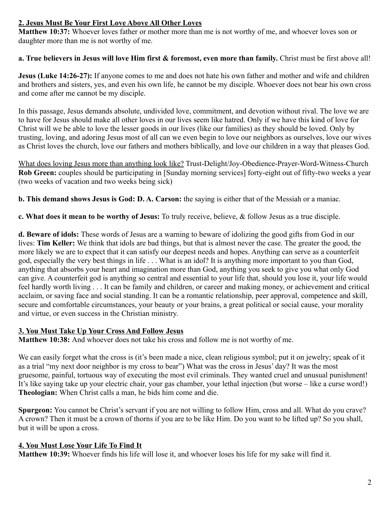# **2. Jesus Must Be Your First Love Above All Other Loves**

**Matthew 10:37:** Whoever loves father or mother more than me is not worthy of me, and whoever loves son or daughter more than me is not worthy of me.

### **a. True believers in Jesus will love Him first & foremost, even more than family.** Christ must be first above all!

**Jesus (Luke 14:26-27):** If anyone comes to me and does not hate his own father and mother and wife and children and brothers and sisters, yes, and even his own life, he cannot be my disciple. Whoever does not bear his own cross and come after me cannot be my disciple.

In this passage, Jesus demands absolute, undivided love, commitment, and devotion without rival. The love we are to have for Jesus should make all other loves in our lives seem like hatred. Only if we have this kind of love for Christ will we be able to love the lesser goods in our lives (like our families) as they should be loved. Only by trusting, loving, and adoring Jesus most of all can we even begin to love our neighbors as ourselves, love our wives as Christ loves the church, love our fathers and mothers biblically, and love our children in a way that pleases God.

What does loving Jesus more than anything look like? Trust-Delight/Joy-Obedience-Prayer-Word-Witness-Church **Rob Green:** couples should be participating in [Sunday morning services] forty-eight out of fifty-two weeks a year (two weeks of vacation and two weeks being sick)

**b. This demand shows Jesus is God: D. A. Carson:** the saying is either that of the Messiah or a maniac.

**c. What does it mean to be worthy of Jesus:** To truly receive, believe, & follow Jesus as a true disciple.

**d. Beware of idols:** These words of Jesus are a warning to beware of idolizing the good gifts from God in our lives: **Tim Keller:** We think that idols are bad things, but that is almost never the case. The greater the good, the more likely we are to expect that it can satisfy our deepest needs and hopes. Anything can serve as a counterfeit god, especially the very best things in life . . . What is an idol? It is anything more important to you than God, anything that absorbs your heart and imagination more than God, anything you seek to give you what only God can give. A counterfeit god is anything so central and essential to your life that, should you lose it, your life would feel hardly worth living . . . It can be family and children, or career and making money, or achievement and critical acclaim, or saving face and social standing. It can be a romantic relationship, peer approval, competence and skill, secure and comfortable circumstances, your beauty or your brains, a great political or social cause, your morality and virtue, or even success in the Christian ministry.

## **3. You Must Take Up Your Cross And Follow Jesus**

**Matthew 10:38:** And whoever does not take his cross and follow me is not worthy of me.

We can easily forget what the cross is (it's been made a nice, clean religious symbol; put it on jewelry; speak of it as a trial "my next door neighbor is my cross to bear") What was the cross in Jesus' day? It was the most gruesome, painful, tortuous way of executing the most evil criminals. They wanted cruel and unusual punishment! It's like saying take up your electric chair, your gas chamber, your lethal injection (but worse – like a curse word!) **Theologian:** When Christ calls a man, he bids him come and die.

**Spurgeon:** You cannot be Christ's servant if you are not willing to follow Him, cross and all. What do you crave? A crown? Then it must be a crown of thorns if you are to be like Him. Do you want to be lifted up? So you shall, but it will be upon a cross.

## **4. You Must Lose Your Life To Find It**

**Matthew 10:39:** Whoever finds his life will lose it, and whoever loses his life for my sake will find it.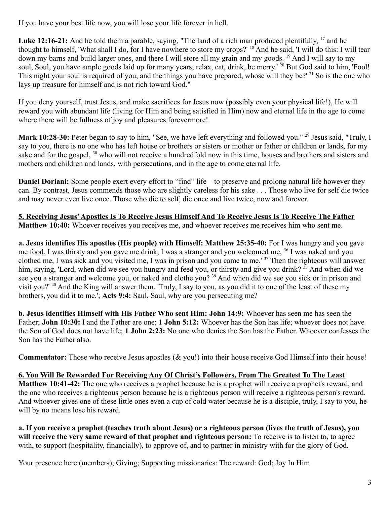If you have your best life now, you will lose your life forever in hell.

Luke 12:16-21: And he told them a parable, saying, "The land of a rich man produced plentifully, <sup>17</sup> and he thought to himself, 'What shall I do, for I have nowhere to store my crops?' <sup>18</sup> And he said, 'I will do this: I will tear down my barns and build larger ones, and there I will store all my grain and my goods. <sup>19</sup> And I will say to my soul, Soul, you have ample goods laid up for many years; relax, eat, drink, be merry.<sup>' 20</sup> But God said to him, 'Fool! This night your soul is required of you, and the things you have prepared, whose will they be?' <sup>21</sup> So is the one who lays up treasure for himself and is not rich toward God."

If you deny yourself, trust Jesus, and make sacrifices for Jesus now (possibly even your physical life!), He will reward you with abundant life (living for Him and being satisfied in Him) now and eternal life in the age to come where there will be fullness of joy and pleasures forevermore!

Mark 10:28-30: Peter began to say to him, "See, we have left everything and followed you."<sup>29</sup> Jesus said, "Truly, I say to you, there is no one who has left house or brothers or sisters or mother or father or children or lands, for my sake and for the gospel, <sup>30</sup> who will not receive a hundredfold now in this time, houses and brothers and sisters and mothers and children and lands, with persecutions, and in the age to come eternal life.

**Daniel Doriani:** Some people exert every effort to "find" life – to preserve and prolong natural life however they can. By contrast, Jesus commends those who are slightly careless for his sake . . . Those who live for self die twice and may never even live once. Those who die to self, die once and live twice, now and forever.

**5. Receiving Jesus' Apostles Is To Receive Jesus Himself And To Receive Jesus Is To Receive The Father Matthew 10:40:** Whoever receives you receives me, and whoever receives me receives him who sent me.

**a. Jesus identifies His apostles (His people) with Himself: Matthew 25:35-40:** For I was hungry and you gave me food, I was thirsty and you gave me drink, I was a stranger and you welcomed me, <sup>36</sup> I was naked and you clothed me, I was sick and you visited me, I was in prison and you came to me.' <sup>37</sup> Then the righteous will answer him, saying, 'Lord, when did we see you hungry and feed you, or thirsty and give you drink? <sup>38</sup> And when did we see you a stranger and welcome you, or naked and clothe you? <sup>39</sup> And when did we see you sick or in prison and visit you?' <sup>40</sup> And the King will answer them, 'Truly, I say to you, as you did it to one of the least of these my brothers, you did it to me.'; **Acts 9:4:** Saul, Saul, why are you persecuting me?

**b. Jesus identifies Himself with His Father Who sent Him: John 14:9:** Whoever has seen me has seen the Father; **John 10:30:** I and the Father are one; **1 John 5:12:** Whoever has the Son has life; whoever does not have the Son of God does not have life; **1 John 2:23:** No one who denies the Son has the Father. Whoever confesses the Son has the Father also.

**Commentator:** Those who receive Jesus apostles (& you!) into their house receive God Himself into their house!

## **6. You Will Be Rewarded For Receiving Any Of Christ's Followers, From The Greatest To The Least**

**Matthew 10:41-42:** The one who receives a prophet because he is a prophet will receive a prophet's reward, and the one who receives a righteous person because he is a righteous person will receive a righteous person's reward. And whoever gives one of these little ones even a cup of cold water because he is a disciple, truly, I say to you, he will by no means lose his reward.

**a. If you receive a prophet (teaches truth about Jesus) or a righteous person (lives the truth of Jesus), you will receive the very same reward of that prophet and righteous person:** To receive is to listen to, to agree with, to support (hospitality, financially), to approve of, and to partner in ministry with for the glory of God.

Your presence here (members); Giving; Supporting missionaries: The reward: God; Joy In Him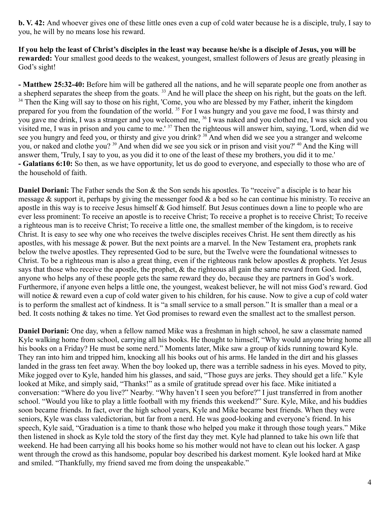**b. V. 42:** And whoever gives one of these little ones even a cup of cold water because he is a disciple, truly, I say to you, he will by no means lose his reward.

**If you help the least of Christ's disciples in the least way because he/she is a disciple of Jesus, you will be rewarded:** Your smallest good deeds to the weakest, youngest, smallest followers of Jesus are greatly pleasing in God's sight!

**- Matthew 25:32-40:** Before him will be gathered all the nations, and he will separate people one from another as a shepherd separates the sheep from the goats.<sup>33</sup> And he will place the sheep on his right, but the goats on the left. <sup>34</sup> Then the King will say to those on his right, 'Come, you who are blessed by my Father, inherit the kingdom prepared for you from the foundation of the world. <sup>35</sup> For I was hungry and you gave me food, I was thirsty and you gave me drink, I was a stranger and you welcomed me, <sup>36</sup> I was naked and you clothed me, I was sick and you visited me, I was in prison and you came to me.' <sup>37</sup> Then the righteous will answer him, saying, 'Lord, when did we see you hungry and feed you, or thirsty and give you drink? <sup>38</sup> And when did we see you a stranger and welcome you, or naked and clothe you? <sup>39</sup> And when did we see you sick or in prison and visit you?' <sup>40</sup> And the King will answer them, 'Truly, I say to you, as you did it to one of the least of these my brothers, you did it to me.' **- Galatians 6:10:** So then, as we have opportunity, let us do good to everyone, and especially to those who are of the household of faith.

**Daniel Doriani:** The Father sends the Son & the Son sends his apostles. To "receive" a disciple is to hear his message & support it, perhaps by giving the messenger food & a bed so he can continue his ministry. To receive an apostle in this way is to receive Jesus himself & God himself. But Jesus continues down a line to people who are ever less prominent: To receive an apostle is to receive Christ; To receive a prophet is to receive Christ; To receive a righteous man is to receive Christ; To receive a little one, the smallest member of the kingdom, is to receive Christ. It is easy to see why one who receives the twelve disciples receives Christ. He sent them directly as his apostles, with his message & power. But the next points are a marvel. In the New Testament era, prophets rank below the twelve apostles. They represented God to be sure, but the Twelve were the foundational witnesses to Christ. To be a righteous man is also a great thing, even if the righteous rank below apostles & prophets. Yet Jesus says that those who receive the apostle, the prophet, & the righteous all gain the same reward from God. Indeed, anyone who helps any of these people gets the same reward they do, because they are partners in God's work. Furthermore, if anyone even helps a little one, the youngest, weakest believer, he will not miss God's reward. God will notice & reward even a cup of cold water given to his children, for his cause. Now to give a cup of cold water is to perform the smallest act of kindness. It is "a small service to a small person." It is smaller than a meal or a bed. It costs nothing & takes no time. Yet God promises to reward even the smallest act to the smallest person.

**Daniel Doriani:** One day, when a fellow named Mike was a freshman in high school, he saw a classmate named Kyle walking home from school, carrying all his books. He thought to himself, "Why would anyone bring home all his books on a Friday? He must be some nerd." Moments later, Mike saw a group of kids running toward Kyle. They ran into him and tripped him, knocking all his books out of his arms. He landed in the dirt and his glasses landed in the grass ten feet away. When the boy looked up, there was a terrible sadness in his eyes. Moved to pity, Mike jogged over to Kyle, handed him his glasses, and said, "Those guys are jerks. They should get a life." Kyle looked at Mike, and simply said, "Thanks!" as a smile of gratitude spread over his face. Mike initiated a conversation: "Where do you live?" Nearby. "Why haven't I seen you before?" I just transferred in from another school. "Would you like to play a little football with my friends this weekend?" Sure. Kyle, Mike, and his buddies soon became friends. In fact, over the high school years, Kyle and Mike became best friends. When they were seniors, Kyle was class valedictorian, but far from a nerd. He was good-looking and everyone's friend. In his speech, Kyle said, "Graduation is a time to thank those who helped you make it through those tough years." Mike then listened in shock as Kyle told the story of the first day they met. Kyle had planned to take his own life that weekend. He had been carrying all his books home so his mother would not have to clean out his locker. A gasp went through the crowd as this handsome, popular boy described his darkest moment. Kyle looked hard at Mike and smiled. "Thankfully, my friend saved me from doing the unspeakable."